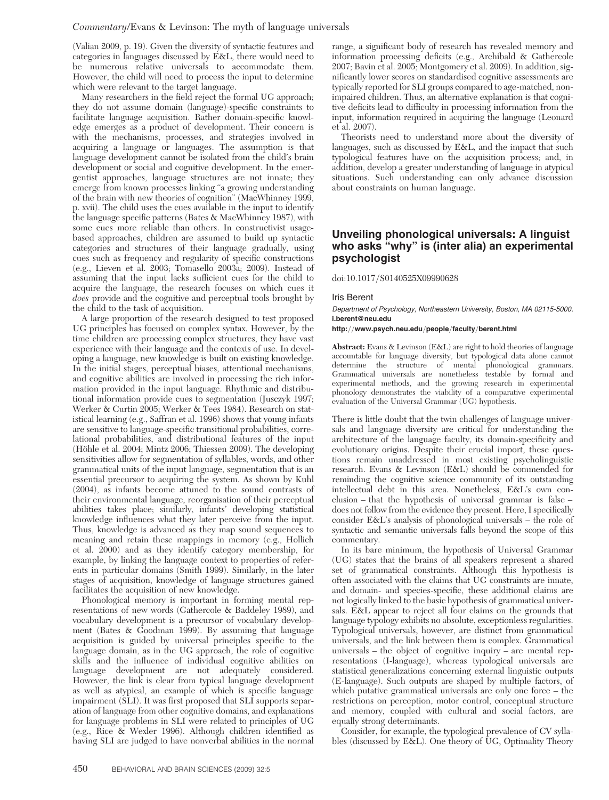(Valian 2009, p. 19). Given the diversity of syntactic features and categories in languages discussed by E&L, there would need to be numerous relative universals to accommodate them. However, the child will need to process the input to determine which were relevant to the target language.

Many researchers in the field reject the formal UG approach; they do not assume domain (language)-specific constraints to facilitate language acquisition. Rather domain-specific knowledge emerges as a product of development. Their concern is with the mechanisms, processes, and strategies involved in acquiring a language or languages. The assumption is that language development cannot be isolated from the child's brain development or social and cognitive development. In the emergentist approaches, language structures are not innate; they emerge from known processes linking "a growing understanding of the brain with new theories of cognition" (MacWhinney 1999, p. xvii). The child uses the cues available in the input to identify the language specific patterns (Bates & MacWhinney 1987), with some cues more reliable than others. In constructivist usagebased approaches, children are assumed to build up syntactic categories and structures of their language gradually, using cues such as frequency and regularity of specific constructions (e.g., Lieven et al. 2003; Tomasello 2003a; 2009). Instead of assuming that the input lacks sufficient cues for the child to acquire the language, the research focuses on which cues it does provide and the cognitive and perceptual tools brought by the child to the task of acquisition.

A large proportion of the research designed to test proposed UG principles has focused on complex syntax. However, by the time children are processing complex structures, they have vast experience with their language and the contexts of use. In developing a language, new knowledge is built on existing knowledge. In the initial stages, perceptual biases, attentional mechanisms, and cognitive abilities are involved in processing the rich information provided in the input language. Rhythmic and distributional information provide cues to segmentation (Jusczyk 1997; Werker & Curtin 2005; Werker & Tees 1984). Research on statistical learning (e.g., Saffran et al. 1996) shows that young infants are sensitive to language-specific transitional probabilities, correlational probabilities, and distributional features of the input (Höhle et al. 2004; Mintz 2006; Thiessen 2009). The developing sensitivities allow for segmentation of syllables, words, and other grammatical units of the input language, segmentation that is an essential precursor to acquiring the system. As shown by Kuhl (2004), as infants become attuned to the sound contrasts of their environmental language, reorganisation of their perceptual abilities takes place; similarly, infants' developing statistical knowledge influences what they later perceive from the input. Thus, knowledge is advanced as they map sound sequences to meaning and retain these mappings in memory (e.g., Hollich et al. 2000) and as they identify category membership, for example, by linking the language context to properties of referents in particular domains (Smith 1999). Similarly, in the later stages of acquisition, knowledge of language structures gained facilitates the acquisition of new knowledge.

Phonological memory is important in forming mental representations of new words (Gathercole & Baddeley 1989), and vocabulary development is a precursor of vocabulary development (Bates & Goodman 1999). By assuming that language acquisition is guided by universal principles specific to the language domain, as in the UG approach, the role of cognitive skills and the influence of individual cognitive abilities on language development are not adequately considered. However, the link is clear from typical language development as well as atypical, an example of which is specific language impairment (SLI). It was first proposed that SLI supports separation of language from other cognitive domains, and explanations for language problems in SLI were related to principles of UG (e.g., Rice & Wexler 1996). Although children identified as having SLI are judged to have nonverbal abilities in the normal

range, a significant body of research has revealed memory and information processing deficits (e.g., Archibald & Gathercole 2007; Bavin et al. 2005; Montgomery et al. 2009). In addition, significantly lower scores on standardised cognitive assessments are typically reported for SLI groups compared to age-matched, nonimpaired children. Thus, an alternative explanation is that cognitive deficits lead to difficulty in processing information from the input, information required in acquiring the language (Leonard et al. 2007).

Theorists need to understand more about the diversity of languages, such as discussed by E&L, and the impact that such typological features have on the acquisition process; and, in addition, develop a greater understanding of language in atypical situations. Such understanding can only advance discussion about constraints on human language.

# Unveiling phonological universals: A linguist who asks "why" is (inter alia) an experimental psychologist

doi:10.1017/S0140525X09990628

#### Iris Berent

Department of Psychology, Northeastern University, Boston, MA 02115-5000. i.berent@neu.edu

### http://www.psych.neu.edu/people/faculty/berent.html

Abstract: Evans & Levinson (E&L) are right to hold theories of language accountable for language diversity, but typological data alone cannot determine the structure of mental phonological grammars. Grammatical universals are nonetheless testable by formal and experimental methods, and the growing research in experimental phonology demonstrates the viability of a comparative experimental evaluation of the Universal Grammar (UG) hypothesis.

There is little doubt that the twin challenges of language universals and language diversity are critical for understanding the architecture of the language faculty, its domain-specificity and evolutionary origins. Despite their crucial import, these questions remain unaddressed in most existing psycholinguistic research. Evans & Levinson (E&L) should be commended for reminding the cognitive science community of its outstanding intellectual debt in this area. Nonetheless, E&L's own conclusion – that the hypothesis of universal grammar is false – does not follow from the evidence they present. Here, I specifically consider E&L's analysis of phonological universals – the role of syntactic and semantic universals falls beyond the scope of this commentary.

In its bare minimum, the hypothesis of Universal Grammar (UG) states that the brains of all speakers represent a shared set of grammatical constraints. Although this hypothesis is often associated with the claims that UG constraints are innate, and domain- and species-specific, these additional claims are not logically linked to the basic hypothesis of grammatical universals. E&L appear to reject all four claims on the grounds that language typology exhibits no absolute, exceptionless regularities. Typological universals, however, are distinct from grammatical universals, and the link between them is complex. Grammatical universals – the object of cognitive inquiry – are mental representations (I-language), whereas typological universals are statistical generalizations concerning external linguistic outputs (E-language). Such outputs are shaped by multiple factors, of which putative grammatical universals are only one force – the restrictions on perception, motor control, conceptual structure and memory, coupled with cultural and social factors, are equally strong determinants.

Consider, for example, the typological prevalence of CV syllables (discussed by E&L). One theory of UG, Optimality Theory